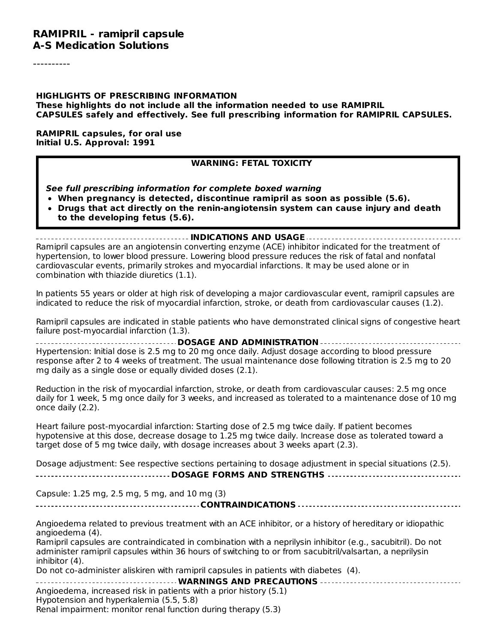#### **RAMIPRIL - ramipril capsule A-S Medication Solutions**

#### **HIGHLIGHTS OF PRESCRIBING INFORMATION These highlights do not include all the information needed to use RAMIPRIL CAPSULES safely and effectively. See full prescribing information for RAMIPRIL CAPSULES.**

#### **RAMIPRIL capsules, for oral use Initial U.S. Approval: 1991**

#### **WARNING: FETAL TOXICITY**

**See full prescribing information for complete boxed warning**

- **When pregnancy is detected, discontinue ramipril as soon as possible (5.6).**
- **Drugs that act directly on the renin-angiotensin system can cause injury and death to the developing fetus (5.6).**

**INDICATIONS AND USAGE** Ramipril capsules are an angiotensin converting enzyme (ACE) inhibitor indicated for the treatment of hypertension, to lower blood pressure. Lowering blood pressure reduces the risk of fatal and nonfatal cardiovascular events, primarily strokes and myocardial infarctions. It may be used alone or in combination with thiazide diuretics (1.1).

In patients 55 years or older at high risk of developing a major cardiovascular event, ramipril capsules are indicated to reduce the risk of myocardial infarction, stroke, or death from cardiovascular causes (1.2).

Ramipril capsules are indicated in stable patients who have demonstrated clinical signs of congestive heart failure post-myocardial infarction (1.3).

**DOSAGE AND ADMINISTRATION** Hypertension: Initial dose is 2.5 mg to 20 mg once daily. Adjust dosage according to blood pressure response after 2 to 4 weeks of treatment. The usual maintenance dose following titration is 2.5 mg to 20 mg daily as a single dose or equally divided doses (2.1).

Reduction in the risk of myocardial infarction, stroke, or death from cardiovascular causes: 2.5 mg once daily for 1 week, 5 mg once daily for 3 weeks, and increased as tolerated to a maintenance dose of 10 mg once daily (2.2).

Heart failure post-myocardial infarction: Starting dose of 2.5 mg twice daily. If patient becomes hypotensive at this dose, decrease dosage to 1.25 mg twice daily. Increase dose as tolerated toward a target dose of 5 mg twice daily, with dosage increases about 3 weeks apart (2.3).

Dosage adjustment: See respective sections pertaining to dosage adjustment in special situations (2.5). **DOSAGE FORMS AND STRENGTHS**

Capsule: 1.25 mg, 2.5 mg, 5 mg, and 10 mg (3)

|  |  |  |  |  |  |  |  |  | $\sim$ $\sim$ $\sim$ $\sim$ $\sim$ $\sim$ $\sim$ |  |  |  |  |  |  |
|--|--|--|--|--|--|--|--|--|--------------------------------------------------|--|--|--|--|--|--|

Angioedema related to previous treatment with an ACE inhibitor, or a history of hereditary or idiopathic angioedema (4).

Ramipril capsules are contraindicated in combination with a neprilysin inhibitor (e.g., sacubitril). Do not administer ramipril capsules within 36 hours of switching to or from sacubitril/valsartan, a neprilysin inhibitor (4).

Do not co-administer aliskiren with ramipril capsules in patients with diabetes (4).

**WARNINGS AND PRECAUTIONS** Angioedema, increased risk in patients with a prior history (5.1) Hypotension and hyperkalemia (5.5, 5.8)

Renal impairment: monitor renal function during therapy (5.3)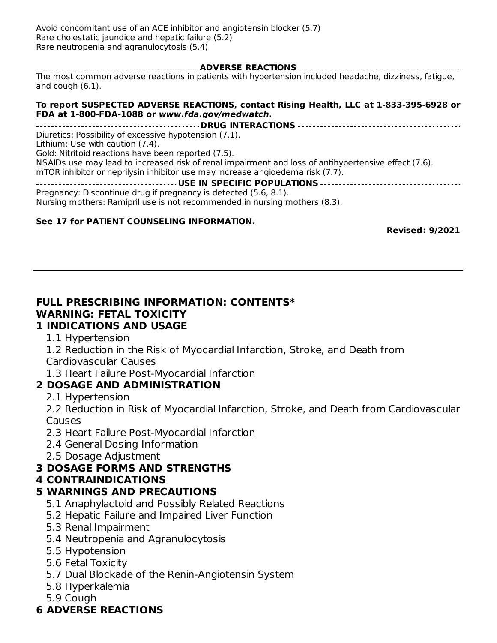Renal impairment: monitor renal function during therapy (5.3) Avoid concomitant use of an ACE inhibitor and angiotensin blocker (5.7) Rare cholestatic jaundice and hepatic failure (5.2) Rare neutropenia and agranulocytosis (5.4)

**ADVERSE REACTIONS** The most common adverse reactions in patients with hypertension included headache, dizziness, fatigue, and cough (6.1).

#### **To report SUSPECTED ADVERSE REACTIONS, contact Rising Health, LLC at 1-833-395-6928 or FDA at 1-800-FDA-1088 or www.fda.gov/medwatch.**

**DRUG INTERACTIONS** Diuretics: Possibility of excessive hypotension (7.1). Lithium: Use with caution (7.4). Gold: Nitritoid reactions have been reported (7.5). NSAIDs use may lead to increased risk of renal impairment and loss of antihypertensive effect (7.6). mTOR inhibitor or neprilysin inhibitor use may increase angioedema risk (7.7). **USE IN SPECIFIC POPULATIONS** Pregnancy: Discontinue drug if pregnancy is detected (5.6, 8.1).

Nursing mothers: Ramipril use is not recommended in nursing mothers (8.3).

#### **See 17 for PATIENT COUNSELING INFORMATION.**

**Revised: 9/2021**

## **FULL PRESCRIBING INFORMATION: CONTENTS\* WARNING: FETAL TOXICITY**

#### **1 INDICATIONS AND USAGE**

1.1 Hypertension

1.2 Reduction in the Risk of Myocardial Infarction, Stroke, and Death from

Cardiovascular Causes

1.3 Heart Failure Post-Myocardial Infarction

#### **2 DOSAGE AND ADMINISTRATION**

2.1 Hypertension

2.2 Reduction in Risk of Myocardial Infarction, Stroke, and Death from Cardiovascular Causes

- 2.3 Heart Failure Post-Myocardial Infarction
- 2.4 General Dosing Information
- 2.5 Dosage Adjustment

### **3 DOSAGE FORMS AND STRENGTHS**

### **4 CONTRAINDICATIONS**

### **5 WARNINGS AND PRECAUTIONS**

- 5.1 Anaphylactoid and Possibly Related Reactions
- 5.2 Hepatic Failure and Impaired Liver Function
- 5.3 Renal Impairment
- 5.4 Neutropenia and Agranulocytosis
- 5.5 Hypotension
- 5.6 Fetal Toxicity
- 5.7 Dual Blockade of the Renin-Angiotensin System
- 5.8 Hyperkalemia
- 5.9 Cough

#### **6 ADVERSE REACTIONS**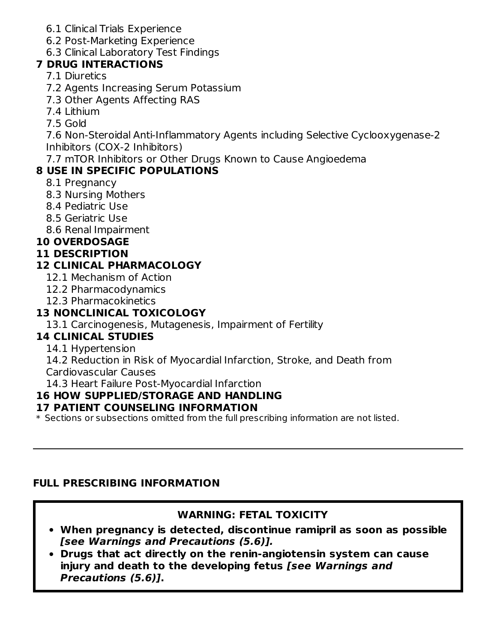- 6.1 Clinical Trials Experience
- 6.2 Post-Marketing Experience
- 6.3 Clinical Laboratory Test Findings

# **7 DRUG INTERACTIONS**

- 7.1 Diuretics
- 7.2 Agents Increasing Serum Potassium
- 7.3 Other Agents Affecting RAS
- 7.4 Lithium
- 7.5 Gold

7.6 Non-Steroidal Anti-Inflammatory Agents including Selective Cyclooxygenase-2 Inhibitors (COX-2 Inhibitors)

7.7 mTOR Inhibitors or Other Drugs Known to Cause Angioedema

# **8 USE IN SPECIFIC POPULATIONS**

- 8.1 Pregnancy
- 8.3 Nursing Mothers
- 8.4 Pediatric Use
- 8.5 Geriatric Use
- 8.6 Renal Impairment

# **10 OVERDOSAGE**

## **11 DESCRIPTION**

# **12 CLINICAL PHARMACOLOGY**

- 12.1 Mechanism of Action
- 12.2 Pharmacodynamics
- 12.3 Pharmacokinetics

# **13 NONCLINICAL TOXICOLOGY**

13.1 Carcinogenesis, Mutagenesis, Impairment of Fertility

# **14 CLINICAL STUDIES**

14.1 Hypertension

14.2 Reduction in Risk of Myocardial Infarction, Stroke, and Death from

Cardiovascular Causes

14.3 Heart Failure Post-Myocardial Infarction

# **16 HOW SUPPLIED/STORAGE AND HANDLING**

## **17 PATIENT COUNSELING INFORMATION**

 $\ast$  Sections or subsections omitted from the full prescribing information are not listed.

## **FULL PRESCRIBING INFORMATION**

# **WARNING: FETAL TOXICITY**

- **When pregnancy is detected, discontinue ramipril as soon as possible [see Warnings and Precautions (5.6)].**
- **Drugs that act directly on the renin-angiotensin system can cause injury and death to the developing fetus [see Warnings and Precautions (5.6)].**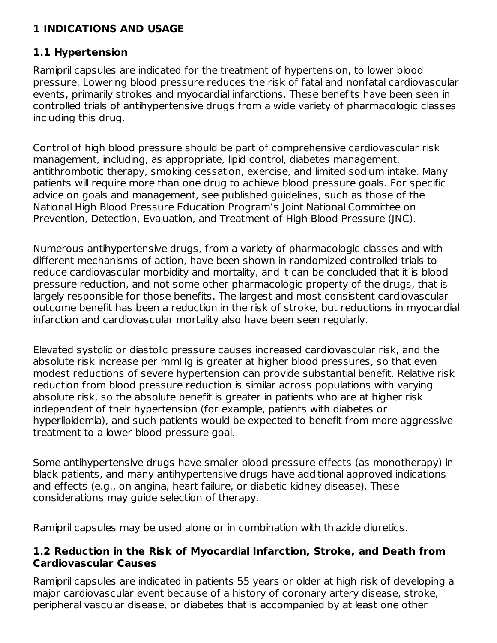#### **1 INDICATIONS AND USAGE**

#### **1.1 Hypertension**

Ramipril capsules are indicated for the treatment of hypertension, to lower blood pressure. Lowering blood pressure reduces the risk of fatal and nonfatal cardiovascular events, primarily strokes and myocardial infarctions. These benefits have been seen in controlled trials of antihypertensive drugs from a wide variety of pharmacologic classes including this drug.

Control of high blood pressure should be part of comprehensive cardiovascular risk management, including, as appropriate, lipid control, diabetes management, antithrombotic therapy, smoking cessation, exercise, and limited sodium intake. Many patients will require more than one drug to achieve blood pressure goals. For specific advice on goals and management, see published guidelines, such as those of the National High Blood Pressure Education Program's Joint National Committee on Prevention, Detection, Evaluation, and Treatment of High Blood Pressure (JNC).

Numerous antihypertensive drugs, from a variety of pharmacologic classes and with different mechanisms of action, have been shown in randomized controlled trials to reduce cardiovascular morbidity and mortality, and it can be concluded that it is blood pressure reduction, and not some other pharmacologic property of the drugs, that is largely responsible for those benefits. The largest and most consistent cardiovascular outcome benefit has been a reduction in the risk of stroke, but reductions in myocardial infarction and cardiovascular mortality also have been seen regularly.

Elevated systolic or diastolic pressure causes increased cardiovascular risk, and the absolute risk increase per mmHg is greater at higher blood pressures, so that even modest reductions of severe hypertension can provide substantial benefit. Relative risk reduction from blood pressure reduction is similar across populations with varying absolute risk, so the absolute benefit is greater in patients who are at higher risk independent of their hypertension (for example, patients with diabetes or hyperlipidemia), and such patients would be expected to benefit from more aggressive treatment to a lower blood pressure goal.

Some antihypertensive drugs have smaller blood pressure effects (as monotherapy) in black patients, and many antihypertensive drugs have additional approved indications and effects (e.g., on angina, heart failure, or diabetic kidney disease). These considerations may guide selection of therapy.

Ramipril capsules may be used alone or in combination with thiazide diuretics.

#### **1.2 Reduction in the Risk of Myocardial Infarction, Stroke, and Death from Cardiovascular Causes**

Ramipril capsules are indicated in patients 55 years or older at high risk of developing a major cardiovascular event because of a history of coronary artery disease, stroke, peripheral vascular disease, or diabetes that is accompanied by at least one other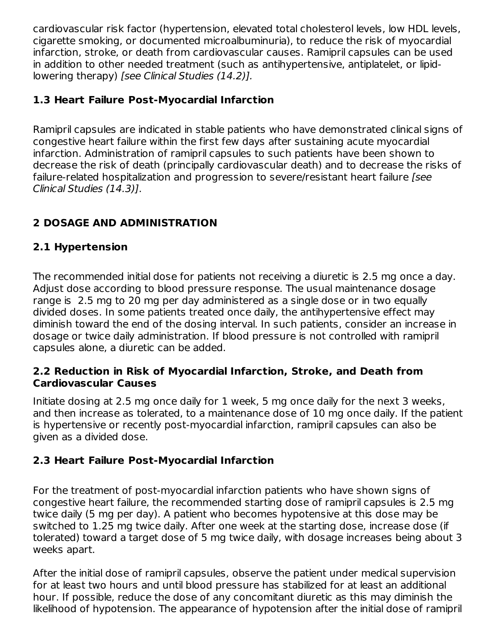cardiovascular risk factor (hypertension, elevated total cholesterol levels, low HDL levels, cigarette smoking, or documented microalbuminuria), to reduce the risk of myocardial infarction, stroke, or death from cardiovascular causes. Ramipril capsules can be used in addition to other needed treatment (such as antihypertensive, antiplatelet, or lipidlowering therapy) [see Clinical Studies (14.2)].

### **1.3 Heart Failure Post-Myocardial Infarction**

Ramipril capsules are indicated in stable patients who have demonstrated clinical signs of congestive heart failure within the first few days after sustaining acute myocardial infarction. Administration of ramipril capsules to such patients have been shown to decrease the risk of death (principally cardiovascular death) and to decrease the risks of failure-related hospitalization and progression to severe/resistant heart failure [see Clinical Studies (14.3)].

## **2 DOSAGE AND ADMINISTRATION**

## **2.1 Hypertension**

The recommended initial dose for patients not receiving a diuretic is 2.5 mg once a day. Adjust dose according to blood pressure response. The usual maintenance dosage range is 2.5 mg to 20 mg per day administered as a single dose or in two equally divided doses. In some patients treated once daily, the antihypertensive effect may diminish toward the end of the dosing interval. In such patients, consider an increase in dosage or twice daily administration. If blood pressure is not controlled with ramipril capsules alone, a diuretic can be added.

#### **2.2 Reduction in Risk of Myocardial Infarction, Stroke, and Death from Cardiovascular Causes**

Initiate dosing at 2.5 mg once daily for 1 week, 5 mg once daily for the next 3 weeks, and then increase as tolerated, to a maintenance dose of 10 mg once daily. If the patient is hypertensive or recently post-myocardial infarction, ramipril capsules can also be given as a divided dose.

## **2.3 Heart Failure Post-Myocardial Infarction**

For the treatment of post-myocardial infarction patients who have shown signs of congestive heart failure, the recommended starting dose of ramipril capsules is 2.5 mg twice daily (5 mg per day). A patient who becomes hypotensive at this dose may be switched to 1.25 mg twice daily. After one week at the starting dose, increase dose (if tolerated) toward a target dose of 5 mg twice daily, with dosage increases being about 3 weeks apart.

After the initial dose of ramipril capsules, observe the patient under medical supervision for at least two hours and until blood pressure has stabilized for at least an additional hour. If possible, reduce the dose of any concomitant diuretic as this may diminish the likelihood of hypotension. The appearance of hypotension after the initial dose of ramipril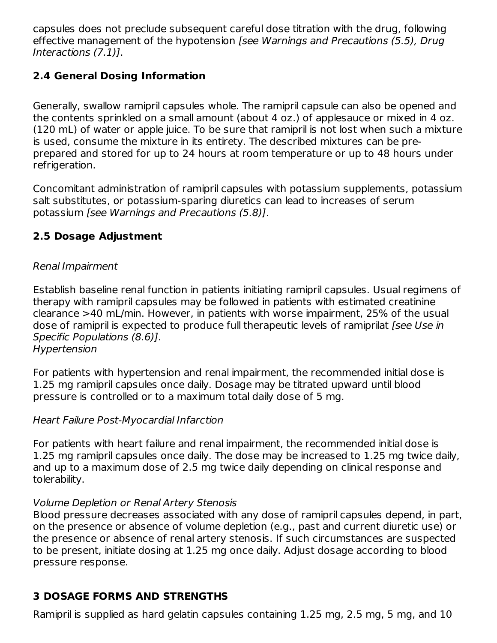capsules does not preclude subsequent careful dose titration with the drug, following effective management of the hypotension [see Warnings and Precautions (5.5), Drug Interactions (7.1)].

### **2.4 General Dosing Information**

Generally, swallow ramipril capsules whole. The ramipril capsule can also be opened and the contents sprinkled on a small amount (about 4 oz.) of applesauce or mixed in 4 oz. (120 mL) of water or apple juice. To be sure that ramipril is not lost when such a mixture is used, consume the mixture in its entirety. The described mixtures can be preprepared and stored for up to 24 hours at room temperature or up to 48 hours under refrigeration.

Concomitant administration of ramipril capsules with potassium supplements, potassium salt substitutes, or potassium-sparing diuretics can lead to increases of serum potassium [see Warnings and Precautions (5.8)].

### **2.5 Dosage Adjustment**

#### Renal Impairment

Establish baseline renal function in patients initiating ramipril capsules. Usual regimens of therapy with ramipril capsules may be followed in patients with estimated creatinine clearance >40 mL/min. However, in patients with worse impairment, 25% of the usual dose of ramipril is expected to produce full therapeutic levels of ramiprilat [see Use in Specific Populations (8.6)]. Hypertension

For patients with hypertension and renal impairment, the recommended initial dose is 1.25 mg ramipril capsules once daily. Dosage may be titrated upward until blood pressure is controlled or to a maximum total daily dose of 5 mg.

### Heart Failure Post-Myocardial Infarction

For patients with heart failure and renal impairment, the recommended initial dose is 1.25 mg ramipril capsules once daily. The dose may be increased to 1.25 mg twice daily, and up to a maximum dose of 2.5 mg twice daily depending on clinical response and tolerability.

#### Volume Depletion or Renal Artery Stenosis

Blood pressure decreases associated with any dose of ramipril capsules depend, in part, on the presence or absence of volume depletion (e.g., past and current diuretic use) or the presence or absence of renal artery stenosis. If such circumstances are suspected to be present, initiate dosing at 1.25 mg once daily. Adjust dosage according to blood pressure response.

## **3 DOSAGE FORMS AND STRENGTHS**

Ramipril is supplied as hard gelatin capsules containing 1.25 mg, 2.5 mg, 5 mg, and 10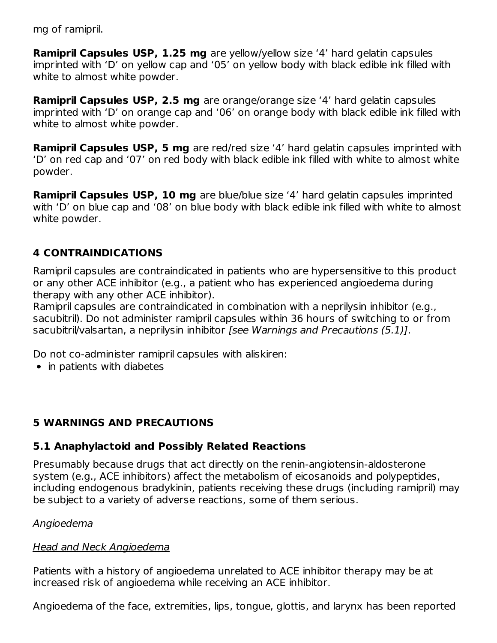mg of ramipril.

**Ramipril Capsules USP, 1.25 mg** are yellow/yellow size '4' hard gelatin capsules imprinted with 'D' on yellow cap and '05' on yellow body with black edible ink filled with white to almost white powder.

**Ramipril Capsules USP, 2.5 mg** are orange/orange size '4' hard gelatin capsules imprinted with 'D' on orange cap and '06' on orange body with black edible ink filled with white to almost white powder.

**Ramipril Capsules USP, 5 mg** are red/red size '4' hard gelatin capsules imprinted with 'D' on red cap and '07' on red body with black edible ink filled with white to almost white powder.

**Ramipril Capsules USP, 10 mg** are blue/blue size '4' hard gelatin capsules imprinted with 'D' on blue cap and '08' on blue body with black edible ink filled with white to almost white powder.

### **4 CONTRAINDICATIONS**

Ramipril capsules are contraindicated in patients who are hypersensitive to this product or any other ACE inhibitor (e.g., a patient who has experienced angioedema during therapy with any other ACE inhibitor).

Ramipril capsules are contraindicated in combination with a neprilysin inhibitor (e.g., sacubitril). Do not administer ramipril capsules within 36 hours of switching to or from sacubitril/valsartan, a neprilysin inhibitor [see Warnings and Precautions (5.1)].

Do not co-administer ramipril capsules with aliskiren:

• in patients with diabetes

### **5 WARNINGS AND PRECAUTIONS**

#### **5.1 Anaphylactoid and Possibly Related Reactions**

Presumably because drugs that act directly on the renin-angiotensin-aldosterone system (e.g., ACE inhibitors) affect the metabolism of eicosanoids and polypeptides, including endogenous bradykinin, patients receiving these drugs (including ramipril) may be subject to a variety of adverse reactions, some of them serious.

#### Angioedema

#### Head and Neck Angioedema

Patients with a history of angioedema unrelated to ACE inhibitor therapy may be at increased risk of angioedema while receiving an ACE inhibitor.

Angioedema of the face, extremities, lips, tongue, glottis, and larynx has been reported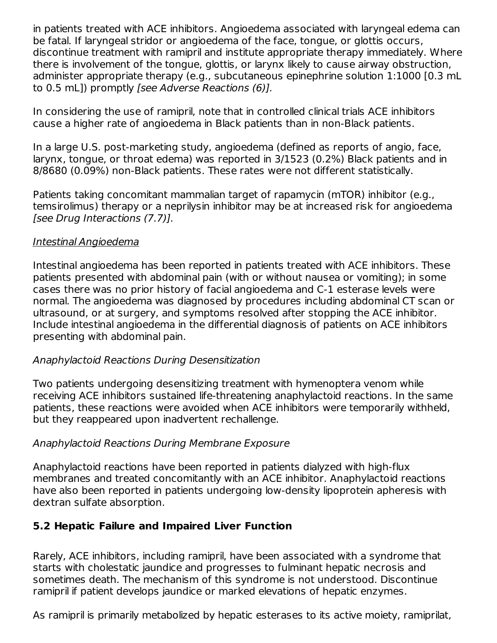in patients treated with ACE inhibitors. Angioedema associated with laryngeal edema can be fatal. If laryngeal stridor or angioedema of the face, tongue, or glottis occurs, discontinue treatment with ramipril and institute appropriate therapy immediately. Where there is involvement of the tongue, glottis, or larynx likely to cause airway obstruction, administer appropriate therapy (e.g., subcutaneous epinephrine solution 1:1000 [0.3 mL to 0.5 mL]) promptly [see Adverse Reactions (6)].

In considering the use of ramipril, note that in controlled clinical trials ACE inhibitors cause a higher rate of angioedema in Black patients than in non-Black patients.

In a large U.S. post-marketing study, angioedema (defined as reports of angio, face, larynx, tongue, or throat edema) was reported in 3/1523 (0.2%) Black patients and in 8/8680 (0.09%) non-Black patients. These rates were not different statistically.

Patients taking concomitant mammalian target of rapamycin (mTOR) inhibitor (e.g., temsirolimus) therapy or a neprilysin inhibitor may be at increased risk for angioedema [see Drug Interactions (7.7)].

#### Intestinal Angioedema

Intestinal angioedema has been reported in patients treated with ACE inhibitors. These patients presented with abdominal pain (with or without nausea or vomiting); in some cases there was no prior history of facial angioedema and C-1 esterase levels were normal. The angioedema was diagnosed by procedures including abdominal CT scan or ultrasound, or at surgery, and symptoms resolved after stopping the ACE inhibitor. Include intestinal angioedema in the differential diagnosis of patients on ACE inhibitors presenting with abdominal pain.

#### Anaphylactoid Reactions During Desensitization

Two patients undergoing desensitizing treatment with hymenoptera venom while receiving ACE inhibitors sustained life-threatening anaphylactoid reactions. In the same patients, these reactions were avoided when ACE inhibitors were temporarily withheld, but they reappeared upon inadvertent rechallenge.

### Anaphylactoid Reactions During Membrane Exposure

Anaphylactoid reactions have been reported in patients dialyzed with high-flux membranes and treated concomitantly with an ACE inhibitor. Anaphylactoid reactions have also been reported in patients undergoing low-density lipoprotein apheresis with dextran sulfate absorption.

### **5.2 Hepatic Failure and Impaired Liver Function**

Rarely, ACE inhibitors, including ramipril, have been associated with a syndrome that starts with cholestatic jaundice and progresses to fulminant hepatic necrosis and sometimes death. The mechanism of this syndrome is not understood. Discontinue ramipril if patient develops jaundice or marked elevations of hepatic enzymes.

As ramipril is primarily metabolized by hepatic esterases to its active moiety, ramiprilat,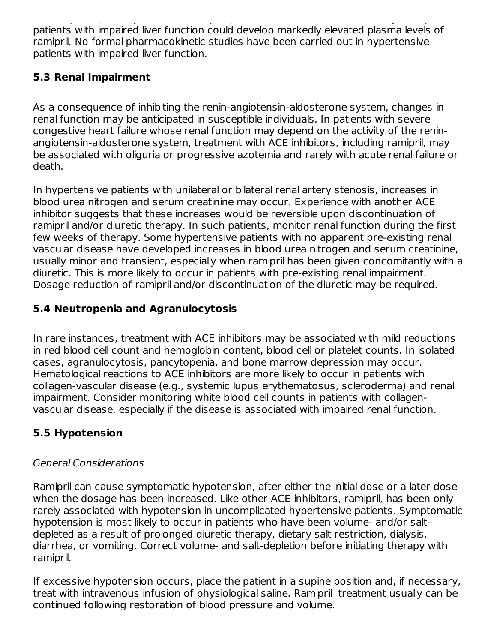As ramipril is primarily metabolized by hepatic esterases to its active moiety, ramiprilat, patients with impaired liver function could develop markedly elevated plasma levels of ramipril. No formal pharmacokinetic studies have been carried out in hypertensive patients with impaired liver function.

## **5.3 Renal Impairment**

As a consequence of inhibiting the renin-angiotensin-aldosterone system, changes in renal function may be anticipated in susceptible individuals. In patients with severe congestive heart failure whose renal function may depend on the activity of the reninangiotensin-aldosterone system, treatment with ACE inhibitors, including ramipril, may be associated with oliguria or progressive azotemia and rarely with acute renal failure or death.

In hypertensive patients with unilateral or bilateral renal artery stenosis, increases in blood urea nitrogen and serum creatinine may occur. Experience with another ACE inhibitor suggests that these increases would be reversible upon discontinuation of ramipril and/or diuretic therapy. In such patients, monitor renal function during the first few weeks of therapy. Some hypertensive patients with no apparent pre-existing renal vascular disease have developed increases in blood urea nitrogen and serum creatinine, usually minor and transient, especially when ramipril has been given concomitantly with a diuretic. This is more likely to occur in patients with pre-existing renal impairment. Dosage reduction of ramipril and/or discontinuation of the diuretic may be required.

## **5.4 Neutropenia and Agranulocytosis**

In rare instances, treatment with ACE inhibitors may be associated with mild reductions in red blood cell count and hemoglobin content, blood cell or platelet counts. In isolated cases, agranulocytosis, pancytopenia, and bone marrow depression may occur. Hematological reactions to ACE inhibitors are more likely to occur in patients with collagen-vascular disease (e.g., systemic lupus erythematosus, scleroderma) and renal impairment. Consider monitoring white blood cell counts in patients with collagenvascular disease, especially if the disease is associated with impaired renal function.

# **5.5 Hypotension**

## General Considerations

Ramipril can cause symptomatic hypotension, after either the initial dose or a later dose when the dosage has been increased. Like other ACE inhibitors, ramipril, has been only rarely associated with hypotension in uncomplicated hypertensive patients. Symptomatic hypotension is most likely to occur in patients who have been volume- and/or saltdepleted as a result of prolonged diuretic therapy, dietary salt restriction, dialysis, diarrhea, or vomiting. Correct volume- and salt-depletion before initiating therapy with ramipril.

If excessive hypotension occurs, place the patient in a supine position and, if necessary, treat with intravenous infusion of physiological saline. Ramipril treatment usually can be continued following restoration of blood pressure and volume.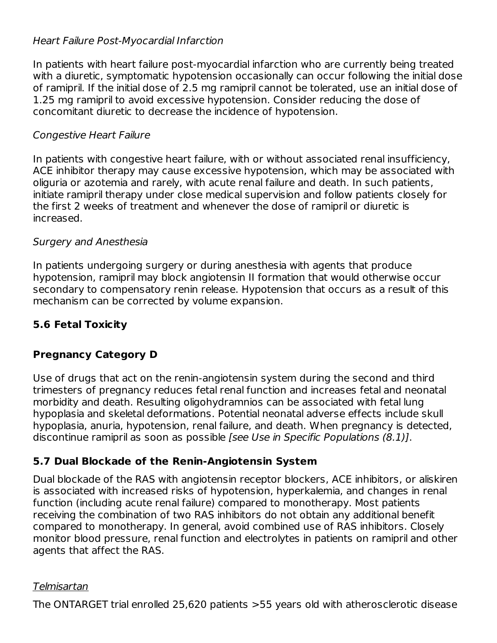#### Heart Failure Post-Myocardial Infarction

In patients with heart failure post-myocardial infarction who are currently being treated with a diuretic, symptomatic hypotension occasionally can occur following the initial dose of ramipril. If the initial dose of 2.5 mg ramipril cannot be tolerated, use an initial dose of 1.25 mg ramipril to avoid excessive hypotension. Consider reducing the dose of concomitant diuretic to decrease the incidence of hypotension.

#### Congestive Heart Failure

In patients with congestive heart failure, with or without associated renal insufficiency, ACE inhibitor therapy may cause excessive hypotension, which may be associated with oliguria or azotemia and rarely, with acute renal failure and death. In such patients, initiate ramipril therapy under close medical supervision and follow patients closely for the first 2 weeks of treatment and whenever the dose of ramipril or diuretic is increased.

#### Surgery and Anesthesia

In patients undergoing surgery or during anesthesia with agents that produce hypotension, ramipril may block angiotensin II formation that would otherwise occur secondary to compensatory renin release. Hypotension that occurs as a result of this mechanism can be corrected by volume expansion.

## **5.6 Fetal Toxicity**

### **Pregnancy Category D**

Use of drugs that act on the renin-angiotensin system during the second and third trimesters of pregnancy reduces fetal renal function and increases fetal and neonatal morbidity and death. Resulting oligohydramnios can be associated with fetal lung hypoplasia and skeletal deformations. Potential neonatal adverse effects include skull hypoplasia, anuria, hypotension, renal failure, and death. When pregnancy is detected, discontinue ramipril as soon as possible [see Use in Specific Populations (8.1)].

### **5.7 Dual Blockade of the Renin-Angiotensin System**

Dual blockade of the RAS with angiotensin receptor blockers, ACE inhibitors, or aliskiren is associated with increased risks of hypotension, hyperkalemia, and changes in renal function (including acute renal failure) compared to monotherapy. Most patients receiving the combination of two RAS inhibitors do not obtain any additional benefit compared to monotherapy. In general, avoid combined use of RAS inhibitors. Closely monitor blood pressure, renal function and electrolytes in patients on ramipril and other agents that affect the RAS.

#### Telmisartan

The ONTARGET trial enrolled 25,620 patients >55 years old with atherosclerotic disease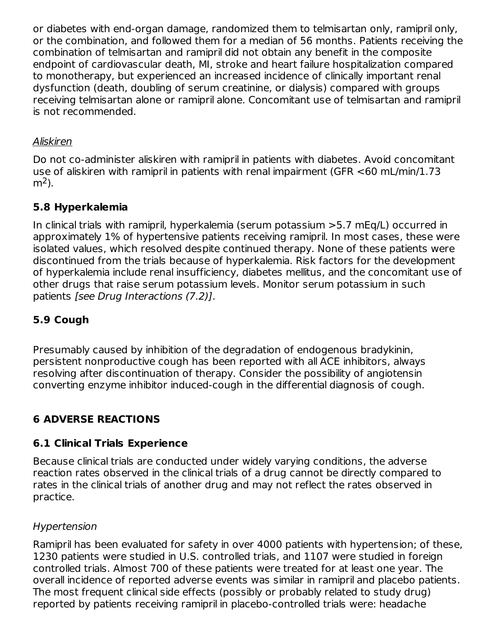or diabetes with end-organ damage, randomized them to telmisartan only, ramipril only, or the combination, and followed them for a median of 56 months. Patients receiving the combination of telmisartan and ramipril did not obtain any benefit in the composite endpoint of cardiovascular death, MI, stroke and heart failure hospitalization compared to monotherapy, but experienced an increased incidence of clinically important renal dysfunction (death, doubling of serum creatinine, or dialysis) compared with groups receiving telmisartan alone or ramipril alone. Concomitant use of telmisartan and ramipril is not recommended.

#### Aliskiren

Do not co-administer aliskiren with ramipril in patients with diabetes. Avoid concomitant use of aliskiren with ramipril in patients with renal impairment (GFR <60 mL/min/1.73 m<sup>2</sup>).

### **5.8 Hyperkalemia**

In clinical trials with ramipril, hyperkalemia (serum potassium >5.7 mEq/L) occurred in approximately 1% of hypertensive patients receiving ramipril. In most cases, these were isolated values, which resolved despite continued therapy. None of these patients were discontinued from the trials because of hyperkalemia. Risk factors for the development of hyperkalemia include renal insufficiency, diabetes mellitus, and the concomitant use of other drugs that raise serum potassium levels. Monitor serum potassium in such patients [see Drug Interactions (7.2)].

### **5.9 Cough**

Presumably caused by inhibition of the degradation of endogenous bradykinin, persistent nonproductive cough has been reported with all ACE inhibitors, always resolving after discontinuation of therapy. Consider the possibility of angiotensin converting enzyme inhibitor induced-cough in the differential diagnosis of cough.

## **6 ADVERSE REACTIONS**

### **6.1 Clinical Trials Experience**

Because clinical trials are conducted under widely varying conditions, the adverse reaction rates observed in the clinical trials of a drug cannot be directly compared to rates in the clinical trials of another drug and may not reflect the rates observed in practice.

### Hypertension

Ramipril has been evaluated for safety in over 4000 patients with hypertension; of these, 1230 patients were studied in U.S. controlled trials, and 1107 were studied in foreign controlled trials. Almost 700 of these patients were treated for at least one year. The overall incidence of reported adverse events was similar in ramipril and placebo patients. The most frequent clinical side effects (possibly or probably related to study drug) reported by patients receiving ramipril in placebo-controlled trials were: headache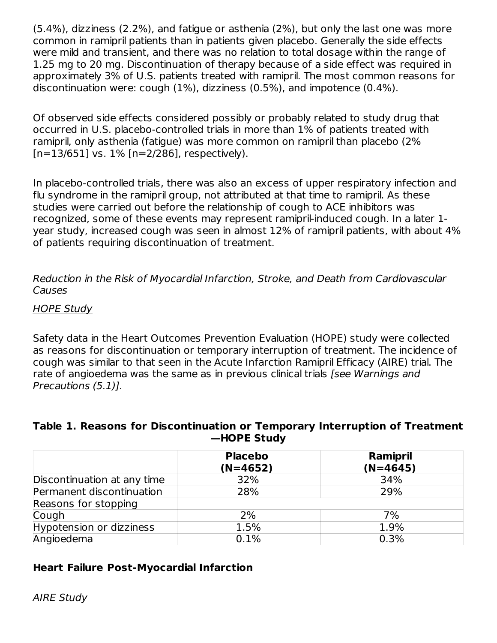(5.4%), dizziness (2.2%), and fatigue or asthenia (2%), but only the last one was more common in ramipril patients than in patients given placebo. Generally the side effects were mild and transient, and there was no relation to total dosage within the range of 1.25 mg to 20 mg. Discontinuation of therapy because of a side effect was required in approximately 3% of U.S. patients treated with ramipril. The most common reasons for discontinuation were: cough (1%), dizziness (0.5%), and impotence (0.4%).

Of observed side effects considered possibly or probably related to study drug that occurred in U.S. placebo-controlled trials in more than 1% of patients treated with ramipril, only asthenia (fatigue) was more common on ramipril than placebo (2%  $[n=13/651]$  vs.  $1\%$   $[n=2/286]$ , respectively).

In placebo-controlled trials, there was also an excess of upper respiratory infection and flu syndrome in the ramipril group, not attributed at that time to ramipril. As these studies were carried out before the relationship of cough to ACE inhibitors was recognized, some of these events may represent ramipril-induced cough. In a later 1 year study, increased cough was seen in almost 12% of ramipril patients, with about 4% of patients requiring discontinuation of treatment.

#### Reduction in the Risk of Myocardial Infarction, Stroke, and Death from Cardiovascular Causes

#### **HOPE Study**

Safety data in the Heart Outcomes Prevention Evaluation (HOPE) study were collected as reasons for discontinuation or temporary interruption of treatment. The incidence of cough was similar to that seen in the Acute Infarction Ramipril Efficacy (AIRE) trial. The rate of angioedema was the same as in previous clinical trials (see Warnings and Precautions (5.1)].

#### **Table 1. Reasons for Discontinuation or Temporary Interruption of Treatment —HOPE Study**

|                             | <b>Placebo</b><br>$(N=4652)$ | Ramipril<br>$(N=4645)$ |
|-----------------------------|------------------------------|------------------------|
| Discontinuation at any time | 32%                          | 34%                    |
| Permanent discontinuation   | 28%                          | 29%                    |
| Reasons for stopping        |                              |                        |
| Cough                       | 2%                           | 7%                     |
| Hypotension or dizziness    | 1.5%                         | 1.9%                   |
| Angioedema                  | 0.1%                         | 0.3%                   |

### **Heart Failure Post-Myocardial Infarction**

**AIRE Study**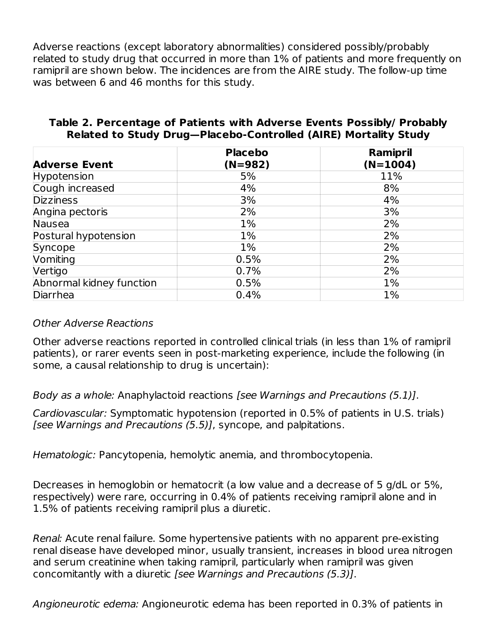Adverse reactions (except laboratory abnormalities) considered possibly/probably related to study drug that occurred in more than 1% of patients and more frequently on ramipril are shown below. The incidences are from the AIRE study. The follow-up time was between 6 and 46 months for this study.

|                          | <b>Placebo</b> | Ramipril   |
|--------------------------|----------------|------------|
| <b>Adverse Event</b>     | $(N=982)$      | $(N=1004)$ |
| Hypotension              | 5%             | 11%        |
| Cough increased          | 4%             | 8%         |
| <b>Dizziness</b>         | 3%             | 4%         |
| Angina pectoris          | 2%             | 3%         |
| <b>Nausea</b>            | 1%             | 2%         |
| Postural hypotension     | 1%             | 2%         |
| Syncope                  | 1%             | 2%         |
| Vomiting                 | 0.5%           | 2%         |
| Vertigo                  | 0.7%           | 2%         |
| Abnormal kidney function | 0.5%           | 1%         |
| Diarrhea                 | 0.4%           | 1%         |

#### **Table 2. Percentage of Patients with Adverse Events Possibly/ Probably Related to Study Drug—Placebo-Controlled (AIRE) Mortality Study**

#### Other Adverse Reactions

Other adverse reactions reported in controlled clinical trials (in less than 1% of ramipril patients), or rarer events seen in post-marketing experience, include the following (in some, a causal relationship to drug is uncertain):

Body as a whole: Anaphylactoid reactions [see Warnings and Precautions (5.1)].

Cardiovascular: Symptomatic hypotension (reported in 0.5% of patients in U.S. trials) [see Warnings and Precautions (5.5)], syncope, and palpitations.

Hematologic: Pancytopenia, hemolytic anemia, and thrombocytopenia.

Decreases in hemoglobin or hematocrit (a low value and a decrease of 5 g/dL or 5%, respectively) were rare, occurring in 0.4% of patients receiving ramipril alone and in 1.5% of patients receiving ramipril plus a diuretic.

Renal: Acute renal failure. Some hypertensive patients with no apparent pre-existing renal disease have developed minor, usually transient, increases in blood urea nitrogen and serum creatinine when taking ramipril, particularly when ramipril was given concomitantly with a diuretic [see Warnings and Precautions (5.3)].

Angioneurotic edema: Angioneurotic edema has been reported in 0.3% of patients in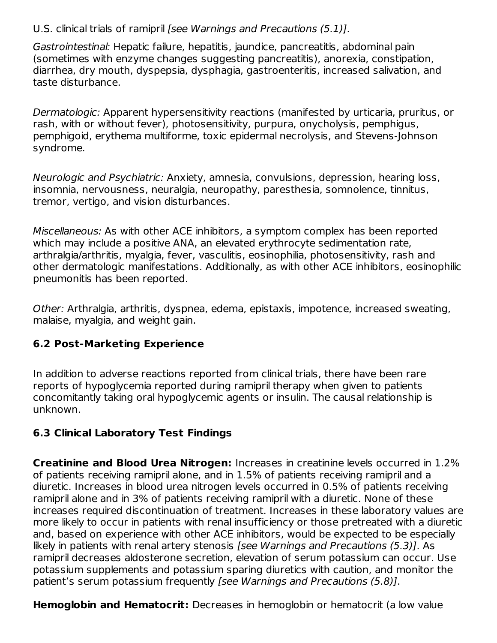#### U.S. clinical trials of ramipril [see Warnings and Precautions (5.1)].

Gastrointestinal: Hepatic failure, hepatitis, jaundice, pancreatitis, abdominal pain (sometimes with enzyme changes suggesting pancreatitis), anorexia, constipation, diarrhea, dry mouth, dyspepsia, dysphagia, gastroenteritis, increased salivation, and taste disturbance.

Dermatologic: Apparent hypersensitivity reactions (manifested by urticaria, pruritus, or rash, with or without fever), photosensitivity, purpura, onycholysis, pemphigus, pemphigoid, erythema multiforme, toxic epidermal necrolysis, and Stevens-Johnson syndrome.

Neurologic and Psychiatric: Anxiety, amnesia, convulsions, depression, hearing loss, insomnia, nervousness, neuralgia, neuropathy, paresthesia, somnolence, tinnitus, tremor, vertigo, and vision disturbances.

Miscellaneous: As with other ACE inhibitors, a symptom complex has been reported which may include a positive ANA, an elevated erythrocyte sedimentation rate, arthralgia/arthritis, myalgia, fever, vasculitis, eosinophilia, photosensitivity, rash and other dermatologic manifestations. Additionally, as with other ACE inhibitors, eosinophilic pneumonitis has been reported.

Other: Arthralgia, arthritis, dyspnea, edema, epistaxis, impotence, increased sweating, malaise, myalgia, and weight gain.

### **6.2 Post-Marketing Experience**

In addition to adverse reactions reported from clinical trials, there have been rare reports of hypoglycemia reported during ramipril therapy when given to patients concomitantly taking oral hypoglycemic agents or insulin. The causal relationship is unknown.

## **6.3 Clinical Laboratory Test Findings**

**Creatinine and Blood Urea Nitrogen:** Increases in creatinine levels occurred in 1.2% of patients receiving ramipril alone, and in 1.5% of patients receiving ramipril and a diuretic. Increases in blood urea nitrogen levels occurred in 0.5% of patients receiving ramipril alone and in 3% of patients receiving ramipril with a diuretic. None of these increases required discontinuation of treatment. Increases in these laboratory values are more likely to occur in patients with renal insufficiency or those pretreated with a diuretic and, based on experience with other ACE inhibitors, would be expected to be especially likely in patients with renal artery stenosis [see Warnings and Precautions (5.3)]. As ramipril decreases aldosterone secretion, elevation of serum potassium can occur. Use potassium supplements and potassium sparing diuretics with caution, and monitor the patient's serum potassium frequently [see Warnings and Precautions (5.8)].

**Hemoglobin and Hematocrit:** Decreases in hemoglobin or hematocrit (a low value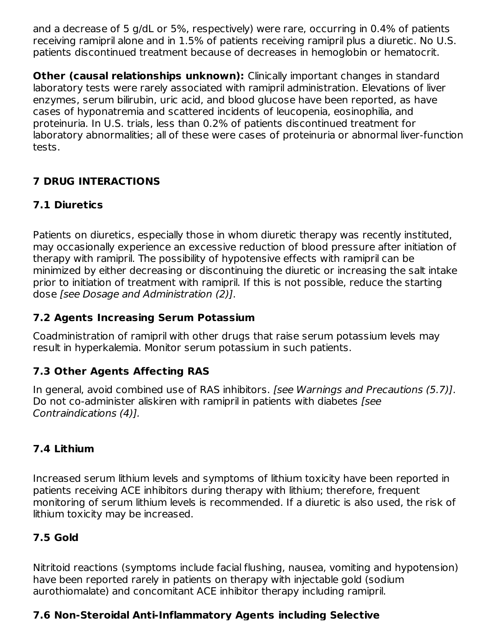and a decrease of 5 g/dL or 5%, respectively) were rare, occurring in 0.4% of patients receiving ramipril alone and in 1.5% of patients receiving ramipril plus a diuretic. No U.S. patients discontinued treatment because of decreases in hemoglobin or hematocrit.

**Other (causal relationships unknown):** Clinically important changes in standard laboratory tests were rarely associated with ramipril administration. Elevations of liver enzymes, serum bilirubin, uric acid, and blood glucose have been reported, as have cases of hyponatremia and scattered incidents of leucopenia, eosinophilia, and proteinuria. In U.S. trials, less than 0.2% of patients discontinued treatment for laboratory abnormalities; all of these were cases of proteinuria or abnormal liver-function tests.

## **7 DRUG INTERACTIONS**

### **7.1 Diuretics**

Patients on diuretics, especially those in whom diuretic therapy was recently instituted, may occasionally experience an excessive reduction of blood pressure after initiation of therapy with ramipril. The possibility of hypotensive effects with ramipril can be minimized by either decreasing or discontinuing the diuretic or increasing the salt intake prior to initiation of treatment with ramipril. If this is not possible, reduce the starting dose [see Dosage and Administration (2)].

### **7.2 Agents Increasing Serum Potassium**

Coadministration of ramipril with other drugs that raise serum potassium levels may result in hyperkalemia. Monitor serum potassium in such patients.

# **7.3 Other Agents Affecting RAS**

In general, avoid combined use of RAS inhibitors. [see Warnings and Precautions (5.7)]. Do not co-administer aliskiren with ramipril in patients with diabetes [see Contraindications (4)].

## **7.4 Lithium**

Increased serum lithium levels and symptoms of lithium toxicity have been reported in patients receiving ACE inhibitors during therapy with lithium; therefore, frequent monitoring of serum lithium levels is recommended. If a diuretic is also used, the risk of lithium toxicity may be increased.

## **7.5 Gold**

Nitritoid reactions (symptoms include facial flushing, nausea, vomiting and hypotension) have been reported rarely in patients on therapy with injectable gold (sodium aurothiomalate) and concomitant ACE inhibitor therapy including ramipril.

## **7.6 Non-Steroidal Anti-Inflammatory Agents including Selective**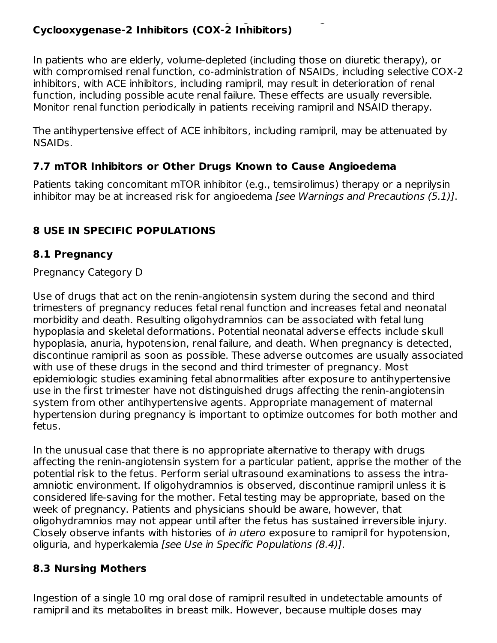#### **7.6 Non-Steroidal Anti-Inflammatory Agents including Selective Cyclooxygenase-2 Inhibitors (COX-2 Inhibitors)**

In patients who are elderly, volume-depleted (including those on diuretic therapy), or with compromised renal function, co-administration of NSAIDs, including selective COX-2 inhibitors, with ACE inhibitors, including ramipril, may result in deterioration of renal function, including possible acute renal failure. These effects are usually reversible. Monitor renal function periodically in patients receiving ramipril and NSAID therapy.

The antihypertensive effect of ACE inhibitors, including ramipril, may be attenuated by NSAIDs.

### **7.7 mTOR Inhibitors or Other Drugs Known to Cause Angioedema**

Patients taking concomitant mTOR inhibitor (e.g., temsirolimus) therapy or a neprilysin inhibitor may be at increased risk for angioedema [see Warnings and Precautions (5.1)].

## **8 USE IN SPECIFIC POPULATIONS**

### **8.1 Pregnancy**

Pregnancy Category D

Use of drugs that act on the renin-angiotensin system during the second and third trimesters of pregnancy reduces fetal renal function and increases fetal and neonatal morbidity and death. Resulting oligohydramnios can be associated with fetal lung hypoplasia and skeletal deformations. Potential neonatal adverse effects include skull hypoplasia, anuria, hypotension, renal failure, and death. When pregnancy is detected, discontinue ramipril as soon as possible. These adverse outcomes are usually associated with use of these drugs in the second and third trimester of pregnancy. Most epidemiologic studies examining fetal abnormalities after exposure to antihypertensive use in the first trimester have not distinguished drugs affecting the renin-angiotensin system from other antihypertensive agents. Appropriate management of maternal hypertension during pregnancy is important to optimize outcomes for both mother and fetus.

In the unusual case that there is no appropriate alternative to therapy with drugs affecting the renin-angiotensin system for a particular patient, apprise the mother of the potential risk to the fetus. Perform serial ultrasound examinations to assess the intraamniotic environment. If oligohydramnios is observed, discontinue ramipril unless it is considered life-saving for the mother. Fetal testing may be appropriate, based on the week of pregnancy. Patients and physicians should be aware, however, that oligohydramnios may not appear until after the fetus has sustained irreversible injury. Closely observe infants with histories of in utero exposure to ramipril for hypotension, oliguria, and hyperkalemia [see Use in Specific Populations (8.4)].

### **8.3 Nursing Mothers**

Ingestion of a single 10 mg oral dose of ramipril resulted in undetectable amounts of ramipril and its metabolites in breast milk. However, because multiple doses may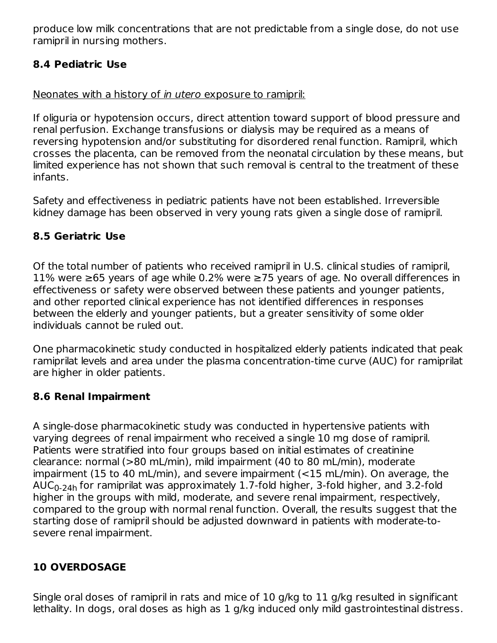produce low milk concentrations that are not predictable from a single dose, do not use ramipril in nursing mothers.

### **8.4 Pediatric Use**

Neonates with a history of *in utero* exposure to ramipril:

If oliguria or hypotension occurs, direct attention toward support of blood pressure and renal perfusion. Exchange transfusions or dialysis may be required as a means of reversing hypotension and/or substituting for disordered renal function. Ramipril, which crosses the placenta, can be removed from the neonatal circulation by these means, but limited experience has not shown that such removal is central to the treatment of these infants.

Safety and effectiveness in pediatric patients have not been established. Irreversible kidney damage has been observed in very young rats given a single dose of ramipril.

## **8.5 Geriatric Use**

Of the total number of patients who received ramipril in U.S. clinical studies of ramipril, 11% were ≥65 years of age while 0.2% were ≥75 years of age. No overall differences in effectiveness or safety were observed between these patients and younger patients, and other reported clinical experience has not identified differences in responses between the elderly and younger patients, but a greater sensitivity of some older individuals cannot be ruled out.

One pharmacokinetic study conducted in hospitalized elderly patients indicated that peak ramiprilat levels and area under the plasma concentration-time curve (AUC) for ramiprilat are higher in older patients.

### **8.6 Renal Impairment**

A single-dose pharmacokinetic study was conducted in hypertensive patients with varying degrees of renal impairment who received a single 10 mg dose of ramipril. Patients were stratified into four groups based on initial estimates of creatinine clearance: normal (>80 mL/min), mild impairment (40 to 80 mL/min), moderate impairment (15 to 40 mL/min), and severe impairment (<15 mL/min). On average, the  $\mathsf{AUC}_{0\text{-}24\mathsf{h}}$  for ramiprilat was approximately  $1.7$ -fold higher, 3-fold higher, and 3.2-fold higher in the groups with mild, moderate, and severe renal impairment, respectively, compared to the group with normal renal function. Overall, the results suggest that the starting dose of ramipril should be adjusted downward in patients with moderate-tosevere renal impairment.

## **10 OVERDOSAGE**

Single oral doses of ramipril in rats and mice of 10 g/kg to 11 g/kg resulted in significant lethality. In dogs, oral doses as high as 1 g/kg induced only mild gastrointestinal distress.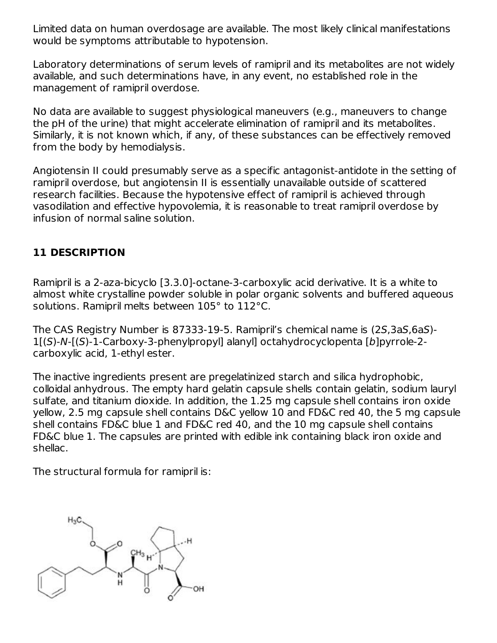Limited data on human overdosage are available. The most likely clinical manifestations would be symptoms attributable to hypotension.

Laboratory determinations of serum levels of ramipril and its metabolites are not widely available, and such determinations have, in any event, no established role in the management of ramipril overdose.

No data are available to suggest physiological maneuvers (e.g., maneuvers to change the pH of the urine) that might accelerate elimination of ramipril and its metabolites. Similarly, it is not known which, if any, of these substances can be effectively removed from the body by hemodialysis.

Angiotensin II could presumably serve as a specific antagonist-antidote in the setting of ramipril overdose, but angiotensin II is essentially unavailable outside of scattered research facilities. Because the hypotensive effect of ramipril is achieved through vasodilation and effective hypovolemia, it is reasonable to treat ramipril overdose by infusion of normal saline solution.

### **11 DESCRIPTION**

Ramipril is a 2-aza-bicyclo [3.3.0]-octane-3-carboxylic acid derivative. It is a white to almost white crystalline powder soluble in polar organic solvents and buffered aqueous solutions. Ramipril melts between 105° to 112°C.

The CAS Registry Number is 87333-19-5. Ramipril's chemical name is (2S,3aS,6aS)- 1[(S)-N-[(S)-1-Carboxy-3-phenylpropyl] alanyl] octahydrocyclopenta [b]pyrrole-2 carboxylic acid, 1-ethyl ester.

The inactive ingredients present are pregelatinized starch and silica hydrophobic, colloidal anhydrous. The empty hard gelatin capsule shells contain gelatin, sodium lauryl sulfate, and titanium dioxide. In addition, the 1.25 mg capsule shell contains iron oxide yellow, 2.5 mg capsule shell contains D&C yellow 10 and FD&C red 40, the 5 mg capsule shell contains FD&C blue 1 and FD&C red 40, and the 10 mg capsule shell contains FD&C blue 1. The capsules are printed with edible ink containing black iron oxide and shellac.

The structural formula for ramipril is:

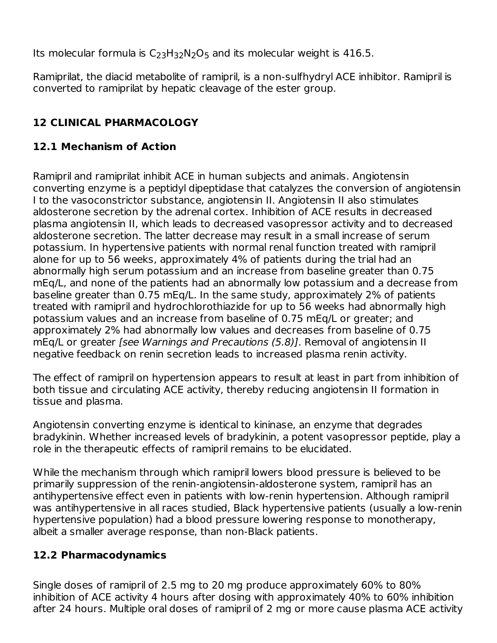Its molecular formula is  $C_{23}H_{32}N_2O_5$  and its molecular weight is 416.5.

Ramiprilat, the diacid metabolite of ramipril, is a non-sulfhydryl ACE inhibitor. Ramipril is converted to ramiprilat by hepatic cleavage of the ester group.

## **12 CLINICAL PHARMACOLOGY**

### **12.1 Mechanism of Action**

Ramipril and ramiprilat inhibit ACE in human subjects and animals. Angiotensin converting enzyme is a peptidyl dipeptidase that catalyzes the conversion of angiotensin I to the vasoconstrictor substance, angiotensin II. Angiotensin II also stimulates aldosterone secretion by the adrenal cortex. Inhibition of ACE results in decreased plasma angiotensin II, which leads to decreased vasopressor activity and to decreased aldosterone secretion. The latter decrease may result in a small increase of serum potassium. In hypertensive patients with normal renal function treated with ramipril alone for up to 56 weeks, approximately 4% of patients during the trial had an abnormally high serum potassium and an increase from baseline greater than 0.75 mEq/L, and none of the patients had an abnormally low potassium and a decrease from baseline greater than 0.75 mEq/L. In the same study, approximately 2% of patients treated with ramipril and hydrochlorothiazide for up to 56 weeks had abnormally high potassium values and an increase from baseline of 0.75 mEq/L or greater; and approximately 2% had abnormally low values and decreases from baseline of 0.75 mEq/L or greater [see Warnings and Precautions (5.8)]. Removal of angiotensin II negative feedback on renin secretion leads to increased plasma renin activity.

The effect of ramipril on hypertension appears to result at least in part from inhibition of both tissue and circulating ACE activity, thereby reducing angiotensin II formation in tissue and plasma.

Angiotensin converting enzyme is identical to kininase, an enzyme that degrades bradykinin. Whether increased levels of bradykinin, a potent vasopressor peptide, play a role in the therapeutic effects of ramipril remains to be elucidated.

While the mechanism through which ramipril lowers blood pressure is believed to be primarily suppression of the renin-angiotensin-aldosterone system, ramipril has an antihypertensive effect even in patients with low-renin hypertension. Although ramipril was antihypertensive in all races studied, Black hypertensive patients (usually a low-renin hypertensive population) had a blood pressure lowering response to monotherapy, albeit a smaller average response, than non-Black patients.

### **12.2 Pharmacodynamics**

Single doses of ramipril of 2.5 mg to 20 mg produce approximately 60% to 80% inhibition of ACE activity 4 hours after dosing with approximately 40% to 60% inhibition after 24 hours. Multiple oral doses of ramipril of 2 mg or more cause plasma ACE activity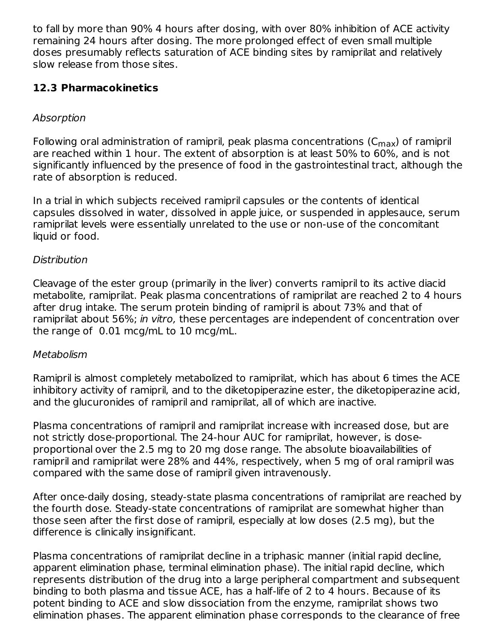to fall by more than 90% 4 hours after dosing, with over 80% inhibition of ACE activity remaining 24 hours after dosing. The more prolonged effect of even small multiple doses presumably reflects saturation of ACE binding sites by ramiprilat and relatively slow release from those sites.

### **12.3 Pharmacokinetics**

### Absorption

Following oral administration of ramipril, peak plasma concentrations (C $_{\sf max}$ ) of ramipril are reached within 1 hour. The extent of absorption is at least 50% to 60%, and is not significantly influenced by the presence of food in the gastrointestinal tract, although the rate of absorption is reduced.

In a trial in which subjects received ramipril capsules or the contents of identical capsules dissolved in water, dissolved in apple juice, or suspended in applesauce, serum ramiprilat levels were essentially unrelated to the use or non-use of the concomitant liquid or food.

#### Distribution

Cleavage of the ester group (primarily in the liver) converts ramipril to its active diacid metabolite, ramiprilat. Peak plasma concentrations of ramiprilat are reached 2 to 4 hours after drug intake. The serum protein binding of ramipril is about 73% and that of ramiprilat about 56%; in vitro, these percentages are independent of concentration over the range of 0.01 mcg/mL to 10 mcg/mL.

#### **Metabolism**

Ramipril is almost completely metabolized to ramiprilat, which has about 6 times the ACE inhibitory activity of ramipril, and to the diketopiperazine ester, the diketopiperazine acid, and the glucuronides of ramipril and ramiprilat, all of which are inactive.

Plasma concentrations of ramipril and ramiprilat increase with increased dose, but are not strictly dose-proportional. The 24-hour AUC for ramiprilat, however, is doseproportional over the 2.5 mg to 20 mg dose range. The absolute bioavailabilities of ramipril and ramiprilat were 28% and 44%, respectively, when 5 mg of oral ramipril was compared with the same dose of ramipril given intravenously.

After once-daily dosing, steady-state plasma concentrations of ramiprilat are reached by the fourth dose. Steady-state concentrations of ramiprilat are somewhat higher than those seen after the first dose of ramipril, especially at low doses (2.5 mg), but the difference is clinically insignificant.

Plasma concentrations of ramiprilat decline in a triphasic manner (initial rapid decline, apparent elimination phase, terminal elimination phase). The initial rapid decline, which represents distribution of the drug into a large peripheral compartment and subsequent binding to both plasma and tissue ACE, has a half-life of 2 to 4 hours. Because of its potent binding to ACE and slow dissociation from the enzyme, ramiprilat shows two elimination phases. The apparent elimination phase corresponds to the clearance of free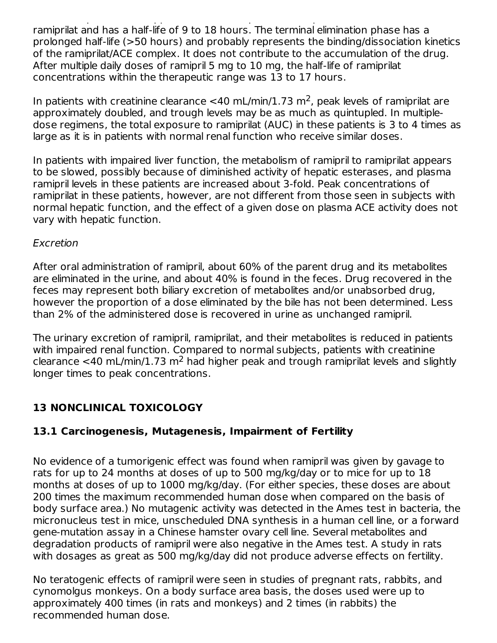elimination phases. The apparent elimination phase corresponds to the clearance of free ramiprilat and has a half-life of 9 to 18 hours. The terminal elimination phase has a prolonged half-life (>50 hours) and probably represents the binding/dissociation kinetics of the ramiprilat/ACE complex. It does not contribute to the accumulation of the drug. After multiple daily doses of ramipril 5 mg to 10 mg, the half-life of ramiprilat concentrations within the therapeutic range was 13 to 17 hours.

In patients with creatinine clearance <40 mL/min/1.73 m<sup>2</sup>, peak levels of ramiprilat are approximately doubled, and trough levels may be as much as quintupled. In multipledose regimens, the total exposure to ramiprilat (AUC) in these patients is 3 to 4 times as large as it is in patients with normal renal function who receive similar doses.

In patients with impaired liver function, the metabolism of ramipril to ramiprilat appears to be slowed, possibly because of diminished activity of hepatic esterases, and plasma ramipril levels in these patients are increased about 3-fold. Peak concentrations of ramiprilat in these patients, however, are not different from those seen in subjects with normal hepatic function, and the effect of a given dose on plasma ACE activity does not vary with hepatic function.

#### Excretion

After oral administration of ramipril, about 60% of the parent drug and its metabolites are eliminated in the urine, and about 40% is found in the feces. Drug recovered in the feces may represent both biliary excretion of metabolites and/or unabsorbed drug, however the proportion of a dose eliminated by the bile has not been determined. Less than 2% of the administered dose is recovered in urine as unchanged ramipril.

The urinary excretion of ramipril, ramiprilat, and their metabolites is reduced in patients with impaired renal function. Compared to normal subjects, patients with creatinine clearance <40 mL/min/1.73 m<sup>2</sup> had higher peak and trough ramiprilat levels and slightly longer times to peak concentrations.

## **13 NONCLINICAL TOXICOLOGY**

### **13.1 Carcinogenesis, Mutagenesis, Impairment of Fertility**

No evidence of a tumorigenic effect was found when ramipril was given by gavage to rats for up to 24 months at doses of up to 500 mg/kg/day or to mice for up to 18 months at doses of up to 1000 mg/kg/day. (For either species, these doses are about 200 times the maximum recommended human dose when compared on the basis of body surface area.) No mutagenic activity was detected in the Ames test in bacteria, the micronucleus test in mice, unscheduled DNA synthesis in a human cell line, or a forward gene-mutation assay in a Chinese hamster ovary cell line. Several metabolites and degradation products of ramipril were also negative in the Ames test. A study in rats with dosages as great as 500 mg/kg/day did not produce adverse effects on fertility.

No teratogenic effects of ramipril were seen in studies of pregnant rats, rabbits, and cynomolgus monkeys. On a body surface area basis, the doses used were up to approximately 400 times (in rats and monkeys) and 2 times (in rabbits) the recommended human dose.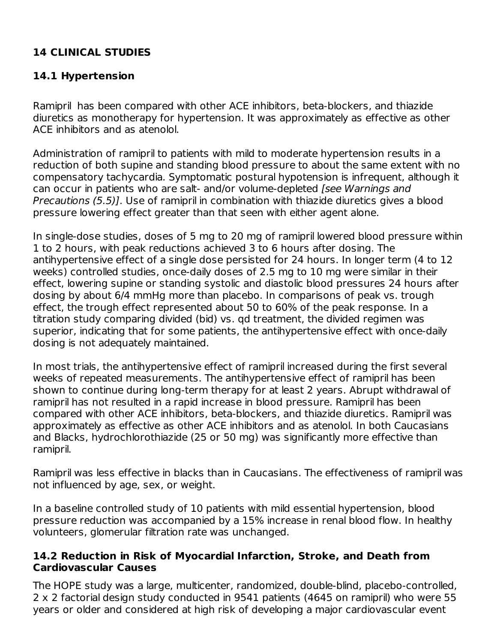### **14 CLINICAL STUDIES**

#### **14.1 Hypertension**

Ramipril has been compared with other ACE inhibitors, beta-blockers, and thiazide diuretics as monotherapy for hypertension. It was approximately as effective as other ACE inhibitors and as atenolol.

Administration of ramipril to patients with mild to moderate hypertension results in a reduction of both supine and standing blood pressure to about the same extent with no compensatory tachycardia. Symptomatic postural hypotension is infrequent, although it can occur in patients who are salt- and/or volume-depleted [see Warnings and Precautions (5.5)]. Use of ramipril in combination with thiazide diuretics gives a blood pressure lowering effect greater than that seen with either agent alone.

In single-dose studies, doses of 5 mg to 20 mg of ramipril lowered blood pressure within 1 to 2 hours, with peak reductions achieved 3 to 6 hours after dosing. The antihypertensive effect of a single dose persisted for 24 hours. In longer term (4 to 12 weeks) controlled studies, once-daily doses of 2.5 mg to 10 mg were similar in their effect, lowering supine or standing systolic and diastolic blood pressures 24 hours after dosing by about 6/4 mmHg more than placebo. In comparisons of peak vs. trough effect, the trough effect represented about 50 to 60% of the peak response. In a titration study comparing divided (bid) vs. qd treatment, the divided regimen was superior, indicating that for some patients, the antihypertensive effect with once-daily dosing is not adequately maintained.

In most trials, the antihypertensive effect of ramipril increased during the first several weeks of repeated measurements. The antihypertensive effect of ramipril has been shown to continue during long-term therapy for at least 2 years. Abrupt withdrawal of ramipril has not resulted in a rapid increase in blood pressure. Ramipril has been compared with other ACE inhibitors, beta-blockers, and thiazide diuretics. Ramipril was approximately as effective as other ACE inhibitors and as atenolol. In both Caucasians and Blacks, hydrochlorothiazide (25 or 50 mg) was significantly more effective than ramipril.

Ramipril was less effective in blacks than in Caucasians. The effectiveness of ramipril was not influenced by age, sex, or weight.

In a baseline controlled study of 10 patients with mild essential hypertension, blood pressure reduction was accompanied by a 15% increase in renal blood flow. In healthy volunteers, glomerular filtration rate was unchanged.

#### **14.2 Reduction in Risk of Myocardial Infarction, Stroke, and Death from Cardiovascular Causes**

The HOPE study was a large, multicenter, randomized, double-blind, placebo-controlled, 2 x 2 factorial design study conducted in 9541 patients (4645 on ramipril) who were 55 years or older and considered at high risk of developing a major cardiovascular event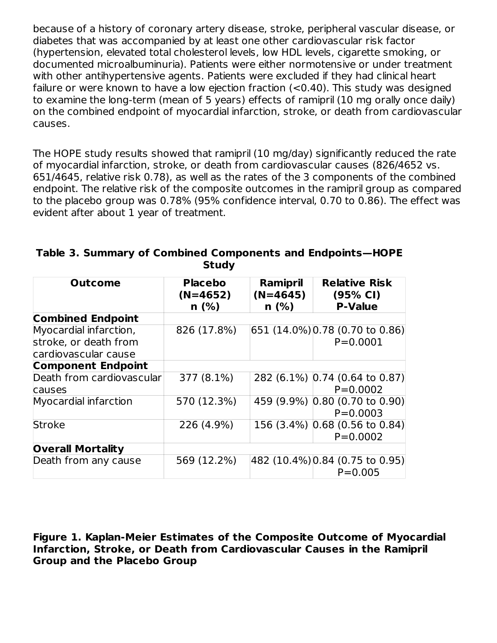because of a history of coronary artery disease, stroke, peripheral vascular disease, or diabetes that was accompanied by at least one other cardiovascular risk factor (hypertension, elevated total cholesterol levels, low HDL levels, cigarette smoking, or documented microalbuminuria). Patients were either normotensive or under treatment with other antihypertensive agents. Patients were excluded if they had clinical heart failure or were known to have a low ejection fraction (<0.40). This study was designed to examine the long-term (mean of 5 years) effects of ramipril (10 mg orally once daily) on the combined endpoint of myocardial infarction, stroke, or death from cardiovascular causes.

The HOPE study results showed that ramipril (10 mg/day) significantly reduced the rate of myocardial infarction, stroke, or death from cardiovascular causes (826/4652 vs. 651/4645, relative risk 0.78), as well as the rates of the 3 components of the combined endpoint. The relative risk of the composite outcomes in the ramipril group as compared to the placebo group was 0.78% (95% confidence interval, 0.70 to 0.86). The effect was evident after about 1 year of treatment.

|  | Table 3. Summary of Combined Components and Endpoints-HOPE |  |  |
|--|------------------------------------------------------------|--|--|
|  | Study                                                      |  |  |

| <b>Outcome</b>            | <b>Placebo</b><br>$(N=4652)$<br>$n$ (%) | Ramipril<br>$(N=4645)$<br>n(%) | <b>Relative Risk</b><br>(95% CI)<br><b>P-Value</b> |
|---------------------------|-----------------------------------------|--------------------------------|----------------------------------------------------|
| <b>Combined Endpoint</b>  |                                         |                                |                                                    |
| Myocardial infarction,    | 826 (17.8%)                             |                                | 651 (14.0%) 0.78 (0.70 to 0.86)                    |
| stroke, or death from     |                                         |                                | $P = 0.0001$                                       |
| cardiovascular cause      |                                         |                                |                                                    |
| <b>Component Endpoint</b> |                                         |                                |                                                    |
| Death from cardiovascular | 377 (8.1%)                              |                                | 282 (6.1%) 0.74 (0.64 to 0.87)                     |
| causes                    |                                         |                                | $P = 0.0002$                                       |
| Myocardial infarction     | 570 (12.3%)                             |                                | 459 (9.9%) 0.80 (0.70 to 0.90)                     |
|                           |                                         |                                | $P = 0.0003$                                       |
| Stroke                    | 226 (4.9%)                              |                                | 156 (3.4%) 0.68 (0.56 to 0.84)                     |
|                           |                                         |                                | $P = 0.0002$                                       |
| <b>Overall Mortality</b>  |                                         |                                |                                                    |
| Death from any cause      | 569 (12.2%)                             |                                | 482 (10.4%) 0.84 (0.75 to 0.95)                    |
|                           |                                         |                                | $P = 0.005$                                        |

**Figure 1. Kaplan-Meier Estimates of the Composite Outcome of Myocardial Infarction, Stroke, or Death from Cardiovascular Causes in the Ramipril Group and the Placebo Group**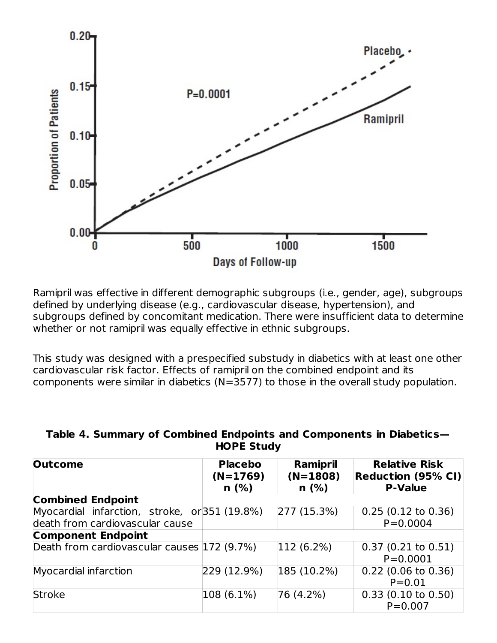

Ramipril was effective in different demographic subgroups (i.e., gender, age), subgroups defined by underlying disease (e.g., cardiovascular disease, hypertension), and subgroups defined by concomitant medication. There were insufficient data to determine whether or not ramipril was equally effective in ethnic subgroups.

This study was designed with a prespecified substudy in diabetics with at least one other cardiovascular risk factor. Effects of ramipril on the combined endpoint and its components were similar in diabetics (N=3577) to those in the overall study population.

| <b>Outcome</b>                                | <b>Placebo</b><br>$(N=1769)$ | Ramipril<br>$(N=1808)$ | <b>Relative Risk</b><br><b>Reduction (95% CI)</b> |
|-----------------------------------------------|------------------------------|------------------------|---------------------------------------------------|
|                                               | n(%)                         | $n$ (%)                | <b>P-Value</b>                                    |
| <b>Combined Endpoint</b>                      |                              |                        |                                                   |
| Myocardial infarction, stroke, or 351 (19.8%) |                              | 277 (15.3%)            | $0.25$ (0.12 to 0.36)                             |
| death from cardiovascular cause               |                              |                        | $P = 0.0004$                                      |
| <b>Component Endpoint</b>                     |                              |                        |                                                   |
| Death from cardiovascular causes 172 (9.7%)   |                              | $ 112(6.2\%)$          | $0.37$ (0.21 to 0.51)                             |
|                                               |                              |                        | $P = 0.0001$                                      |
| Myocardial infarction                         | 229 (12.9%)                  | $ 185(10.2\%)$         | $0.22$ (0.06 to 0.36)                             |
|                                               |                              |                        | $P = 0.01$                                        |
| Stroke                                        | 108 (6.1%)                   | 76 (4.2%)              | $0.33$ (0.10 to 0.50)                             |
|                                               |                              |                        | $P = 0.007$                                       |

#### **Table 4. Summary of Combined Endpoints and Components in Diabetics— HOPE Study**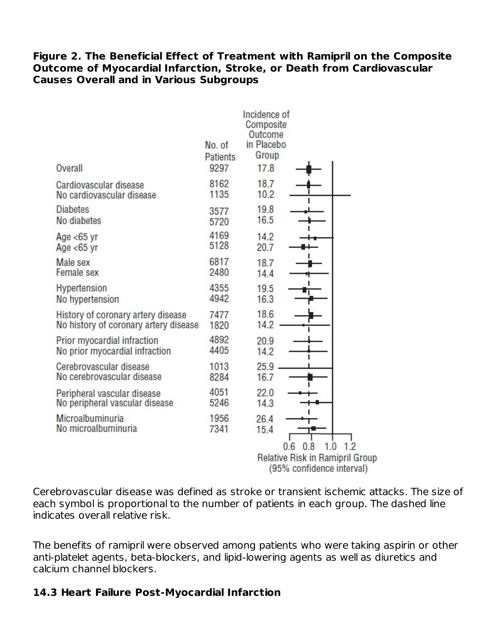#### **Figure 2. The Beneficial Effect of Treatment with Ramipril on the Composite Outcome of Myocardial Infarction, Stroke, or Death from Cardiovascular Causes Overall and in Various Subgroups**

|                                                                             |                                   | Incidence of<br>Composite              |                                 |  |
|-----------------------------------------------------------------------------|-----------------------------------|----------------------------------------|---------------------------------|--|
| Overall                                                                     | No. of<br><b>Patients</b><br>9297 | Outcome<br>in Placebo<br>Group<br>17.8 |                                 |  |
| Cardiovascular disease                                                      | 8162                              | 18.7                                   |                                 |  |
| No cardiovascular disease                                                   | 1135                              | 10.2                                   |                                 |  |
| <b>Diabetes</b><br>No diabetes                                              | 3577<br>5720                      | 19.8<br>16.5                           |                                 |  |
| Age $<$ 65 yr<br>Age $<$ 65 yr                                              | 4169<br>5128                      | 14.2<br>20.7                           |                                 |  |
| Male sex<br>Female sex                                                      | 6817<br>2480                      | 18.7<br>14.4                           |                                 |  |
| Hypertension<br>No hypertension                                             | 4355<br>4942                      | 19.5<br>16.3                           |                                 |  |
| History of coronary artery disease<br>No history of coronary artery disease | 7477<br>1820                      | 18.6<br>14.2                           |                                 |  |
| Prior myocardial infraction<br>No prior myocardial infraction               | 4892<br>4405                      | 20.9<br>14.2                           |                                 |  |
| Cerebrovascular disease<br>No cerebrovascular disease                       | 1013<br>8284                      | 25.9<br>16.7                           |                                 |  |
| Peripheral vascular disease<br>No peripheral vascular disease               | 4051<br>5246                      | 22.0<br>14.3                           |                                 |  |
| Microalbuminuria<br>No microalbuminuria                                     | 1956<br>7341                      | 26.4<br>15.4                           |                                 |  |
|                                                                             |                                   | 0.6                                    | 1.0<br>1.2<br>0.8               |  |
|                                                                             |                                   |                                        | Relative Risk in Ramipril Group |  |
|                                                                             |                                   |                                        | (95% confidence interval)       |  |

Cerebrovascular disease was defined as stroke or transient ischemic attacks. The size of each symbol is proportional to the number of patients in each group. The dashed line indicates overall relative risk.

The benefits of ramipril were observed among patients who were taking aspirin or other anti-platelet agents, beta-blockers, and lipid-lowering agents as well as diuretics and calcium channel blockers.

#### **14.3 Heart Failure Post-Myocardial Infarction**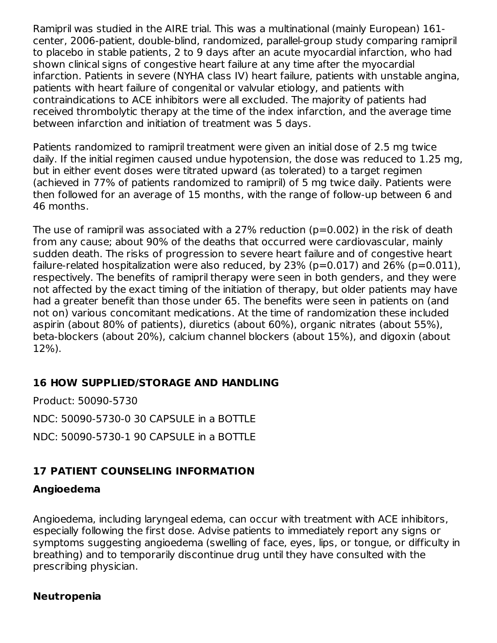Ramipril was studied in the AIRE trial. This was a multinational (mainly European) 161 center, 2006-patient, double-blind, randomized, parallel-group study comparing ramipril to placebo in stable patients, 2 to 9 days after an acute myocardial infarction, who had shown clinical signs of congestive heart failure at any time after the myocardial infarction. Patients in severe (NYHA class IV) heart failure, patients with unstable angina, patients with heart failure of congenital or valvular etiology, and patients with contraindications to ACE inhibitors were all excluded. The majority of patients had received thrombolytic therapy at the time of the index infarction, and the average time between infarction and initiation of treatment was 5 days.

Patients randomized to ramipril treatment were given an initial dose of 2.5 mg twice daily. If the initial regimen caused undue hypotension, the dose was reduced to 1.25 mg, but in either event doses were titrated upward (as tolerated) to a target regimen (achieved in 77% of patients randomized to ramipril) of 5 mg twice daily. Patients were then followed for an average of 15 months, with the range of follow-up between 6 and 46 months.

The use of ramipril was associated with a 27% reduction (p=0.002) in the risk of death from any cause; about 90% of the deaths that occurred were cardiovascular, mainly sudden death. The risks of progression to severe heart failure and of congestive heart failure-related hospitalization were also reduced, by  $23\%$  (p=0.017) and  $26\%$  (p=0.011), respectively. The benefits of ramipril therapy were seen in both genders, and they were not affected by the exact timing of the initiation of therapy, but older patients may have had a greater benefit than those under 65. The benefits were seen in patients on (and not on) various concomitant medications. At the time of randomization these included aspirin (about 80% of patients), diuretics (about 60%), organic nitrates (about 55%), beta-blockers (about 20%), calcium channel blockers (about 15%), and digoxin (about 12%).

#### **16 HOW SUPPLIED/STORAGE AND HANDLING**

Product: 50090-5730 NDC: 50090-5730-0 30 CAPSULE in a BOTTLE

NDC: 50090-5730-1 90 CAPSULE in a BOTTLE

## **17 PATIENT COUNSELING INFORMATION**

### **Angioedema**

Angioedema, including laryngeal edema, can occur with treatment with ACE inhibitors, especially following the first dose. Advise patients to immediately report any signs or symptoms suggesting angioedema (swelling of face, eyes, lips, or tongue, or difficulty in breathing) and to temporarily discontinue drug until they have consulted with the prescribing physician.

### **Neutropenia**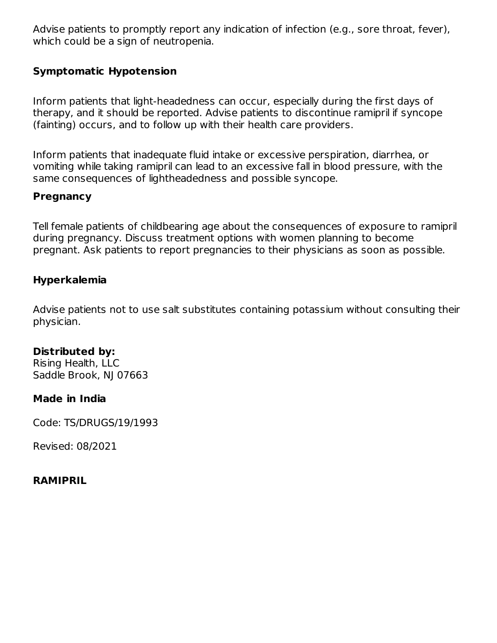Advise patients to promptly report any indication of infection (e.g., sore throat, fever), which could be a sign of neutropenia.

#### **Symptomatic Hypotension**

Inform patients that light-headedness can occur, especially during the first days of therapy, and it should be reported. Advise patients to discontinue ramipril if syncope (fainting) occurs, and to follow up with their health care providers.

Inform patients that inadequate fluid intake or excessive perspiration, diarrhea, or vomiting while taking ramipril can lead to an excessive fall in blood pressure, with the same consequences of lightheadedness and possible syncope.

#### **Pregnancy**

Tell female patients of childbearing age about the consequences of exposure to ramipril during pregnancy. Discuss treatment options with women planning to become pregnant. Ask patients to report pregnancies to their physicians as soon as possible.

#### **Hyperkalemia**

Advise patients not to use salt substitutes containing potassium without consulting their physician.

#### **Distributed by:**

Rising Health, LLC Saddle Brook, NJ 07663

#### **Made in India**

Code: TS/DRUGS/19/1993

Revised: 08/2021

#### **RAMIPRIL**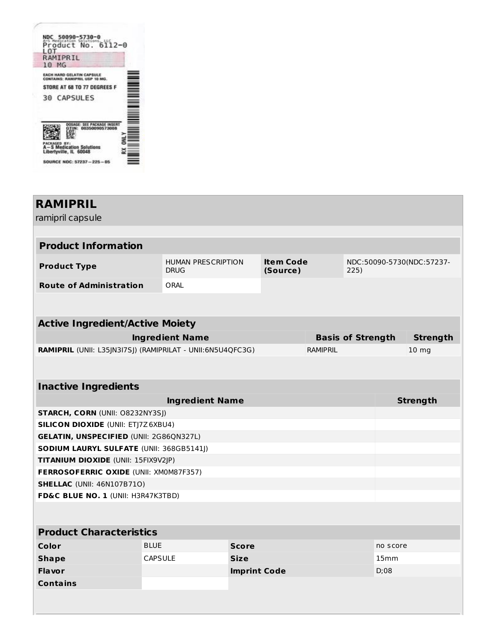| NDC 50090-5730-0<br>Solutions, LLC<br>Product No.<br>6112-0<br>LOT<br>RAMIPRIL<br>10 MG                                |  |
|------------------------------------------------------------------------------------------------------------------------|--|
| <b>EACH HARD GELATIN CAPSULE</b><br>CONTAINS: RAMIPRIL USP 10 MG.<br>STORE AT 68 TO 77 DEGREES F<br><b>30 CAPSULES</b> |  |
| 1350090573008<br><b>AFKAGE</b><br>A-S Medication Solutions<br>Libertyville, IL 60048<br>SOURCE NDC: 57237 - 225 - 05   |  |

| <b>RAMIPRIL</b>                                            |                                          |                     |                              |                 |                          |          |                           |
|------------------------------------------------------------|------------------------------------------|---------------------|------------------------------|-----------------|--------------------------|----------|---------------------------|
| ramipril capsule                                           |                                          |                     |                              |                 |                          |          |                           |
|                                                            |                                          |                     |                              |                 |                          |          |                           |
| <b>Product Information</b>                                 |                                          |                     |                              |                 |                          |          |                           |
| <b>Product Type</b>                                        | <b>HUMAN PRESCRIPTION</b><br><b>DRUG</b> |                     | <b>Item Code</b><br>(Source) |                 | 225)                     |          | NDC:50090-5730(NDC:57237- |
| <b>Route of Administration</b>                             | ORAL                                     |                     |                              |                 |                          |          |                           |
|                                                            |                                          |                     |                              |                 |                          |          |                           |
|                                                            |                                          |                     |                              |                 |                          |          |                           |
| <b>Active Ingredient/Active Moiety</b>                     |                                          |                     |                              |                 |                          |          |                           |
|                                                            | <b>Ingredient Name</b>                   |                     |                              |                 | <b>Basis of Strength</b> |          | <b>Strength</b>           |
| RAMIPRIL (UNII: L35JN3I7SJ) (RAMIPRILAT - UNII:6N5U4QFC3G) |                                          |                     |                              | <b>RAMIPRIL</b> |                          |          | 10 <sub>mg</sub>          |
|                                                            |                                          |                     |                              |                 |                          |          |                           |
|                                                            |                                          |                     |                              |                 |                          |          |                           |
| <b>Inactive Ingredients</b>                                |                                          |                     |                              |                 |                          |          |                           |
|                                                            | <b>Ingredient Name</b>                   |                     |                              |                 |                          |          | <b>Strength</b>           |
| <b>STARCH, CORN (UNII: O8232NY3SJ)</b>                     |                                          |                     |                              |                 |                          |          |                           |
| <b>SILICON DIOXIDE (UNII: ETJ7Z6XBU4)</b>                  |                                          |                     |                              |                 |                          |          |                           |
| GELATIN, UNSPECIFIED (UNII: 2G86QN327L)                    |                                          |                     |                              |                 |                          |          |                           |
| SODIUM LAURYL SULFATE (UNII: 368GB5141J)                   |                                          |                     |                              |                 |                          |          |                           |
| TITANIUM DIOXIDE (UNII: 15FIX9V2JP)                        |                                          |                     |                              |                 |                          |          |                           |
| FERROSOFERRIC OXIDE (UNII: XM0M87F357)                     |                                          |                     |                              |                 |                          |          |                           |
| <b>SHELLAC (UNII: 46N107B710)</b>                          |                                          |                     |                              |                 |                          |          |                           |
| FD&C BLUE NO. 1 (UNII: H3R47K3TBD)                         |                                          |                     |                              |                 |                          |          |                           |
|                                                            |                                          |                     |                              |                 |                          |          |                           |
| <b>Product Characteristics</b>                             |                                          |                     |                              |                 |                          |          |                           |
| Color                                                      | <b>BLUE</b>                              | <b>Score</b>        |                              |                 |                          | no score |                           |
| <b>Shape</b>                                               | <b>CAPSULE</b>                           | <b>Size</b>         |                              |                 |                          | 15mm     |                           |
| Flavor                                                     |                                          | <b>Imprint Code</b> |                              |                 |                          | D;08     |                           |
| <b>Contains</b>                                            |                                          |                     |                              |                 |                          |          |                           |
|                                                            |                                          |                     |                              |                 |                          |          |                           |
|                                                            |                                          |                     |                              |                 |                          |          |                           |